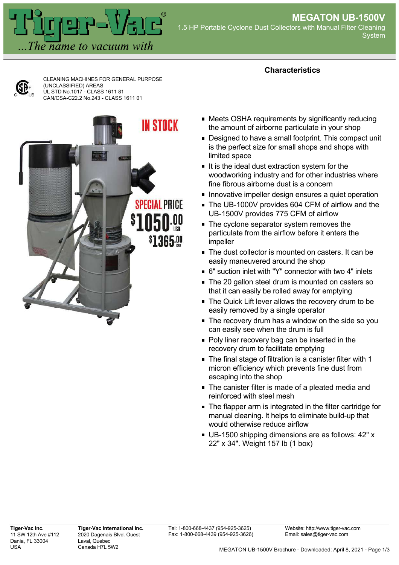

CLEANING MACHINES FOR GENERAL PURPOSE (UNCLASSIFIED) AREAS UL STD No.1017 - CLASS 1611 81 CAN/CSA-C22.2 No.243 - CLASS 1611 01



## **Characteristics**

- Meets OSHA requirements by significantly reducing the amount of airborne particulate in your shop
- Designed to have a small footprint. This compact unit is the perfect size for small shops and shops with limited space
- If is the ideal dust extraction system for the woodworking industry and for other industries where fine fibrous airborne dust is a concern
- **Innovative impeller design ensures a quiet operation**
- The UB-1000V provides 604 CFM of airflow and the UB-1500V provides 775 CFM of airflow
- The cyclone separator system removes the particulate from the airflow before it enters the impeller
- The dust collector is mounted on casters. It can be easily maneuvered around the shop
- 6" suction inlet with "Y" connector with two 4" inlets
- The 20 gallon steel drum is mounted on casters so that it can easily be rolled away for emptying
- **The Quick Lift lever allows the recovery drum to be** easily removed by a single operator
- The recovery drum has a window on the side so you can easily see when the drum is full
- Poly liner recovery bag can be inserted in the recovery drum to facilitate emptying
- The final stage of filtration is a canister filter with 1 micron efficiency which prevents fine dust from escaping into the shop
- The canister filter is made of a pleated media and reinforced with steel mesh
- **The flapper arm is integrated in the filter cartridge for** manual cleaning. It helps to eliminate build-up that would otherwise reduce airflow
- UB-1500 shipping dimensions are as follows: 42" x 22" x 34". Weight 157 lb (1 box)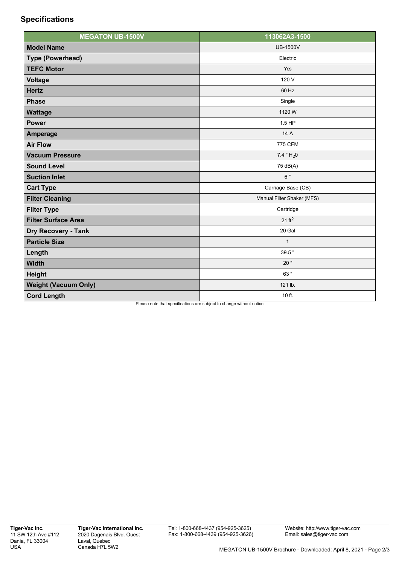## **Specifications**

| <b>MEGATON UB-1500V</b>     | 113062A3-1500              |
|-----------------------------|----------------------------|
| <b>Model Name</b>           | <b>UB-1500V</b>            |
| <b>Type (Powerhead)</b>     | Electric                   |
| <b>TEFC Motor</b>           | Yes                        |
| <b>Voltage</b>              | 120 V                      |
| <b>Hertz</b>                | 60 Hz                      |
| <b>Phase</b>                | Single                     |
| <b>Wattage</b>              | 1120 W                     |
| <b>Power</b>                | 1.5 HP                     |
| <b>Amperage</b>             | 14 A                       |
| <b>Air Flow</b>             | 775 CFM                    |
| <b>Vacuum Pressure</b>      | $7.4$ " $H20$              |
| <b>Sound Level</b>          | 75 dB(A)                   |
| <b>Suction Inlet</b>        | 6 "                        |
| <b>Cart Type</b>            | Carriage Base (CB)         |
| <b>Filter Cleaning</b>      | Manual Filter Shaker (MFS) |
| <b>Filter Type</b>          | Cartridge                  |
| <b>Filter Surface Area</b>  | 21 ft <sup>2</sup>         |
| <b>Dry Recovery - Tank</b>  | 20 Gal                     |
| <b>Particle Size</b>        | $\mathbf{1}$               |
| Length                      | 39.5"                      |
| <b>Width</b>                | 20"                        |
| <b>Height</b>               | 63 "                       |
| <b>Weight (Vacuum Only)</b> | 121 lb.                    |
| <b>Cord Length</b>          | 10 ft.                     |

Please note that specifications are subject to change without notice